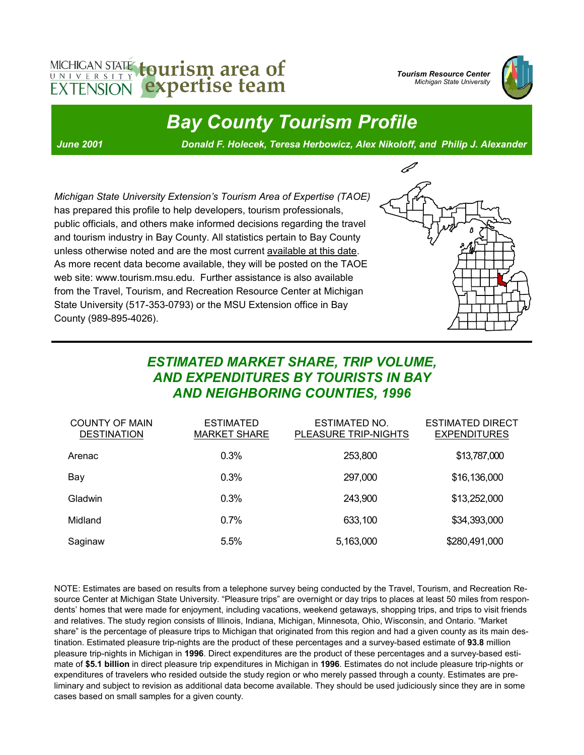# MICHIGAN STATE tourism area of **EXTENSION** expertise team

*Tourism Resource Center Michigan State University* 



*Bay County Tourism Profile* 

*June 2001 Donald F. Holecek, Teresa Herbowicz, Alex Nikoloff, and Philip J. Alexander* 

*Michigan State University Extension's Tourism Area of Expertise (TAOE)* has prepared this profile to help developers, tourism professionals, public officials, and others make informed decisions regarding the travel and tourism industry in Bay County. All statistics pertain to Bay County unless otherwise noted and are the most current available at this date. As more recent data become available, they will be posted on the TAOE web site: www.tourism.msu.edu. Further assistance is also available from the Travel, Tourism, and Recreation Resource Center at Michigan State University (517-353-0793) or the MSU Extension office in Bay County (989-895-4026).



#### *ESTIMATED MARKET SHARE, TRIP VOLUME, AND EXPENDITURES BY TOURISTS IN BAY AND NEIGHBORING COUNTIES, 1996*

| <b>COUNTY OF MAIN</b><br><b>DESTINATION</b> | <b>ESTIMATED</b><br><b>MARKET SHARE</b> | <b>ESTIMATED NO.</b><br>PLEASURE TRIP-NIGHTS | <b>ESTIMATED DIRECT</b><br><b>EXPENDITURES</b> |
|---------------------------------------------|-----------------------------------------|----------------------------------------------|------------------------------------------------|
| Arenac                                      | 0.3%                                    | 253,800                                      | \$13,787,000                                   |
| Bay                                         | 0.3%                                    | 297,000                                      | \$16,136,000                                   |
| Gladwin                                     | 0.3%                                    | 243,900                                      | \$13,252,000                                   |
| Midland                                     | 0.7%                                    | 633,100                                      | \$34,393,000                                   |
| Saginaw                                     | 5.5%                                    | 5,163,000                                    | \$280,491,000                                  |

NOTE: Estimates are based on results from a telephone survey being conducted by the Travel, Tourism, and Recreation Resource Center at Michigan State University. "Pleasure trips" are overnight or day trips to places at least 50 miles from respondents' homes that were made for enjoyment, including vacations, weekend getaways, shopping trips, and trips to visit friends and relatives. The study region consists of Illinois, Indiana, Michigan, Minnesota, Ohio, Wisconsin, and Ontario. "Market share" is the percentage of pleasure trips to Michigan that originated from this region and had a given county as its main destination. Estimated pleasure trip-nights are the product of these percentages and a survey-based estimate of **93.8** million pleasure trip-nights in Michigan in **1996**. Direct expenditures are the product of these percentages and a survey-based estimate of **\$5.1 billion** in direct pleasure trip expenditures in Michigan in **1996**. Estimates do not include pleasure trip-nights or expenditures of travelers who resided outside the study region or who merely passed through a county. Estimates are preliminary and subject to revision as additional data become available. They should be used judiciously since they are in some cases based on small samples for a given county.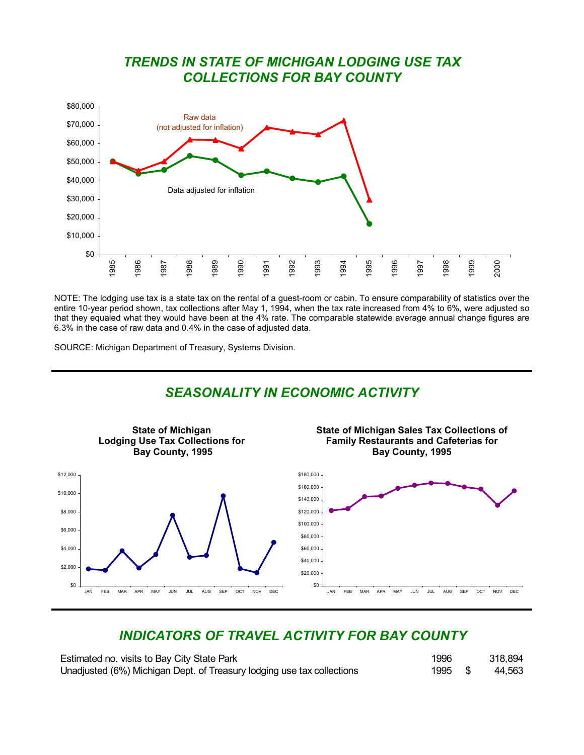#### *TRENDS IN STATE OF MICHIGAN LODGING USE TAX COLLECTIONS FOR BAY COUNTY*



NOTE: The lodging use tax is a state tax on the rental of a guest-room or cabin. To ensure comparability of statistics over the entire 10-year period shown, tax collections after May 1, 1994, when the tax rate increased from 4% to 6%, were adjusted so that they equaled what they would have been at the 4% rate. The comparable statewide average annual change figures are 6.3% in the case of raw data and 0.4% in the case of adjusted data.

SOURCE: Michigan Department of Treasury, Systems Division.

#### *SEASONALITY IN ECONOMIC ACTIVITY*  **State of Michigan Lodging Use Tax Collections for Bay County, 1995 State of Michigan Sales Tax Collections of Family Restaurants and Cafeterias for Bay County, 1995**  \$0 \$2,000 \$4,000 \$6,000 \$8,000 \$10,000 \$12,000 JAN FEB MAR APR MAY JUN JUL AUG SEP OCT NOV DEC \$0 \$20,000 \$40,000 \$60,000 \$80,000 \$100,000 \$120,000 \$140,000 \$160,000 \$180,000 JAN FEB MAR APR MAY JUN JUL AUG SEP OCT NOV DEC

## *INDICATORS OF TRAVEL ACTIVITY FOR BAY COUNTY*

| Estimated no. visits to Bay City State Park                            | 1996    | 318,894 |
|------------------------------------------------------------------------|---------|---------|
| Unadjusted (6%) Michigan Dept. of Treasury lodging use tax collections | 1995 \$ | 44,563  |

| 996 | 318,894      |
|-----|--------------|
| 995 | \$<br>44,563 |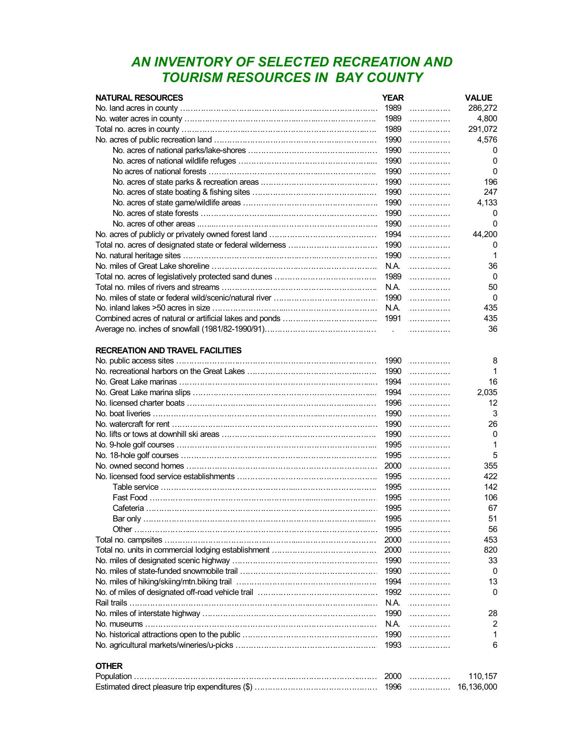### *AN INVENTORY OF SELECTED RECREATION AND TOURISM RESOURCES IN BAY COUNTY*

| <b>NATURAL RESOURCES</b>                                | <b>YEAR</b> |        | <b>VALUE</b> |
|---------------------------------------------------------|-------------|--------|--------------|
|                                                         |             | $1989$ | 286,272      |
|                                                         |             | $1989$ | 4,800        |
|                                                         |             | $1989$ | 291,072      |
|                                                         | 1990        | .      | 4,576        |
|                                                         | 1990        | .      | 0            |
|                                                         | 1990        | .      | 0            |
|                                                         |             | $1990$ | 0            |
|                                                         | 1990        | .      | 196          |
|                                                         |             | 1990   | 247          |
|                                                         |             | $1990$ | 4,133        |
|                                                         | 1990        | .      | 0            |
|                                                         |             | $1990$ | $\mathbf{0}$ |
|                                                         |             | $1994$ | 44,200       |
|                                                         |             | $1990$ | 0            |
|                                                         |             | $1990$ | 1            |
|                                                         |             | N.A.   | 36           |
|                                                         |             | $1989$ | 0            |
|                                                         |             | N.A.   | 50           |
|                                                         |             | $1990$ | 0            |
|                                                         |             | N.A.   | 435          |
|                                                         |             | 1991   | 435          |
|                                                         |             |        | 36           |
|                                                         |             |        |              |
| <b>RECREATION AND TRAVEL FACILITIES</b>                 |             |        |              |
|                                                         |             | $1990$ | 8            |
|                                                         |             | $1990$ | 1            |
|                                                         |             | $1994$ | 16           |
|                                                         |             | $1994$ | 2,035        |
|                                                         |             | $1996$ | 12           |
| <u>No. boat liveries ………………………………………………………………………………</u> | 1990        | .      | 3            |
|                                                         |             | 1990   | 26           |
|                                                         |             | $1990$ | 0            |
|                                                         |             | $1995$ | 1            |
|                                                         |             | $1995$ | 5            |
|                                                         |             | $2000$ | 355          |
|                                                         |             | $1995$ | 422          |
|                                                         |             | $1995$ | 142          |
| Fast Food ………………………………………………………………………………                |             | $1995$ | 106          |
|                                                         |             | $1995$ | 67           |
| Bar only                                                | 1995        |        | 51           |
|                                                         |             |        |              |
|                                                         |             | 1995   | 56           |
|                                                         |             | $2000$ | 453          |
|                                                         | 2000        | .      | 820          |
|                                                         |             | 1990   | 33           |
|                                                         |             | 1990   | 0            |
|                                                         |             | $1994$ | 13           |
|                                                         |             | $1992$ | 0            |
| Rail trails …………………………………………………………………………………………          |             | N.A.   |              |
|                                                         |             | 1990   | 28           |
| <u>No. museums …………………………………………………………………………………</u>      |             | N.A.   | 2            |
|                                                         |             | $1990$ | 1            |
|                                                         |             | 1993   | 6            |
|                                                         |             |        |              |
| <b>OTHER</b>                                            |             |        |              |
|                                                         |             | 2000   | 110,157      |
|                                                         |             | 1996   | 16,136,000   |